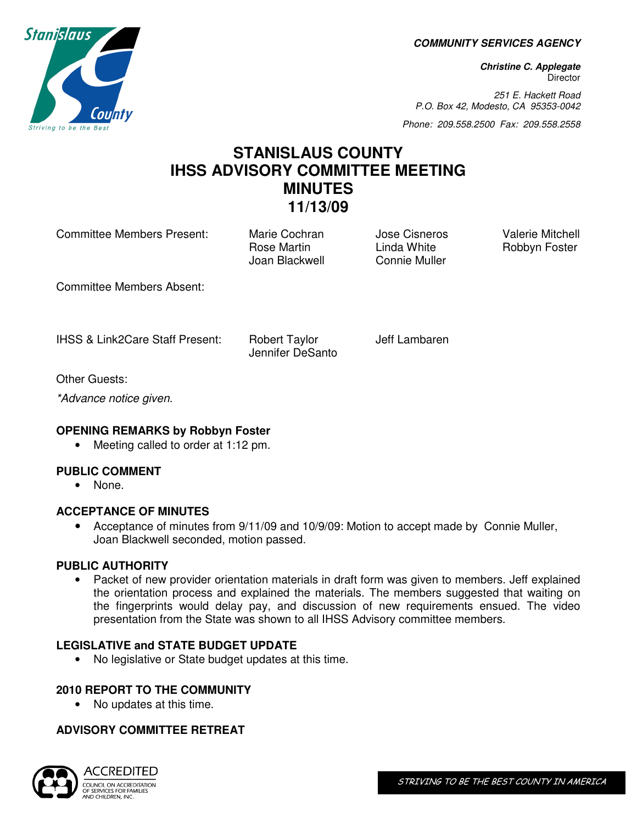**COMMUNITY SERVICES AGENCY** 

**Christine C. Applegate Director** 

251 E. Hackett Road P.O. Box 42, Modesto, CA 95353-0042

Phone: 209.558.2500 Fax: 209.558.2558

# **STANISLAUS COUNTY IHSS ADVISORY COMMITTEE MEETING MINUTES 11/13/09**

Committee Members Present: Marie Cochran Jose Cisneros Valerie Mitchell<br>Rose Martin Linda White Robbyn Foster

Rose Martin **Linda White** Robbyn Foster Joan Blackwell Connie Muller

Committee Members Absent:

IHSS & Link2Care Staff Present: Robert Taylor Jeff Lambaren

Jennifer DeSanto

Other Guests:

\*Advance notice given.

### **OPENING REMARKS by Robbyn Foster**

• Meeting called to order at 1:12 pm.

## **PUBLIC COMMENT**

• None.

### **ACCEPTANCE OF MINUTES**

• Acceptance of minutes from 9/11/09 and 10/9/09: Motion to accept made by Connie Muller, Joan Blackwell seconded, motion passed.

### **PUBLIC AUTHORITY**

• Packet of new provider orientation materials in draft form was given to members. Jeff explained the orientation process and explained the materials. The members suggested that waiting on the fingerprints would delay pay, and discussion of new requirements ensued. The video presentation from the State was shown to all IHSS Advisory committee members.

### **LEGISLATIVE and STATE BUDGET UPDATE**

• No legislative or State budget updates at this time.

### **2010 REPORT TO THE COMMUNITY**

• No updates at this time.

### **ADVISORY COMMITTEE RETREAT**